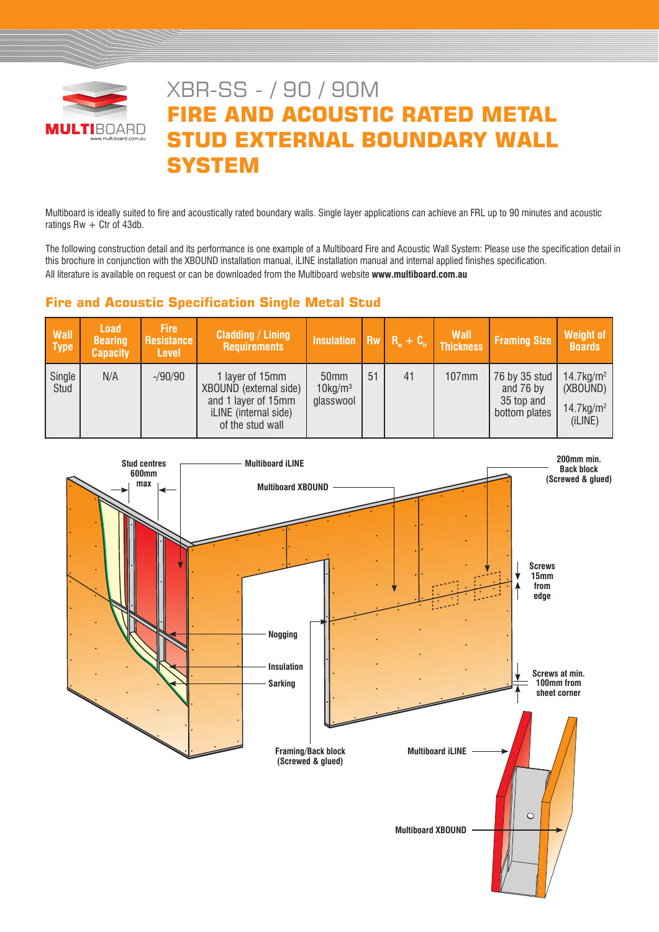

# XBR-SS - / 90 / 90M **FIRE AND ACOUSTIC RATED METAL STUD EXTERNAL BOUNDARY WALL SYSTEM**

Multiboard is ideally suited to fire and acoustically rated boundary walls. Single layer applications can achieve an FRL up to 90 minutes and acoustic ratings  $Rw + C$ tr of 43db.

The following construction detail and its performance is one example of a Multiboard Fire and Acoustic Wall System: Please use the specification detail in this brochure in conjunction with the XBOUND installation manual, iLINE installation manual and internal applied finishes specification. All literature is available on request or can be downloaded from the Multiboard website **www.multiboard.com.au**

# **Fire and Acoustic Specification Single Metal Stud**

| <b>Wall</b><br><b>Type</b> | <b>Load</b><br><b>Bearing</b><br><b>Capacity</b> | <b>Fire</b><br>Resistance<br><b>Level</b> | <b>Cladding / Lining</b><br><b>Requirements</b>                                                                      | Insulation $\overline{R_w + C_v}$ Thickness             |    |    | <b>Wall</b> | <b>Framing Size</b>                                       | <b>Weight of</b><br><b>Boards</b>                                           |
|----------------------------|--------------------------------------------------|-------------------------------------------|----------------------------------------------------------------------------------------------------------------------|---------------------------------------------------------|----|----|-------------|-----------------------------------------------------------|-----------------------------------------------------------------------------|
| Single<br>Stud             | N/A                                              | $-$ /90/90                                | 1 layer of 15mm<br>XBOUND (external side)<br>and 1 layer of 15mm<br><i>iLINE</i> (internal side)<br>of the stud wall | 50 <sub>mm</sub><br>$10$ kg/m <sup>3</sup><br>glasswool | 51 | 41 | 107mm       | 76 by 35 stud<br>and 76 by<br>35 top and<br>bottom plates | $14.7$ kg/m <sup>2</sup><br>(XBOUND)<br>$14.7$ kg/m <sup>2</sup><br>(iLINE) |